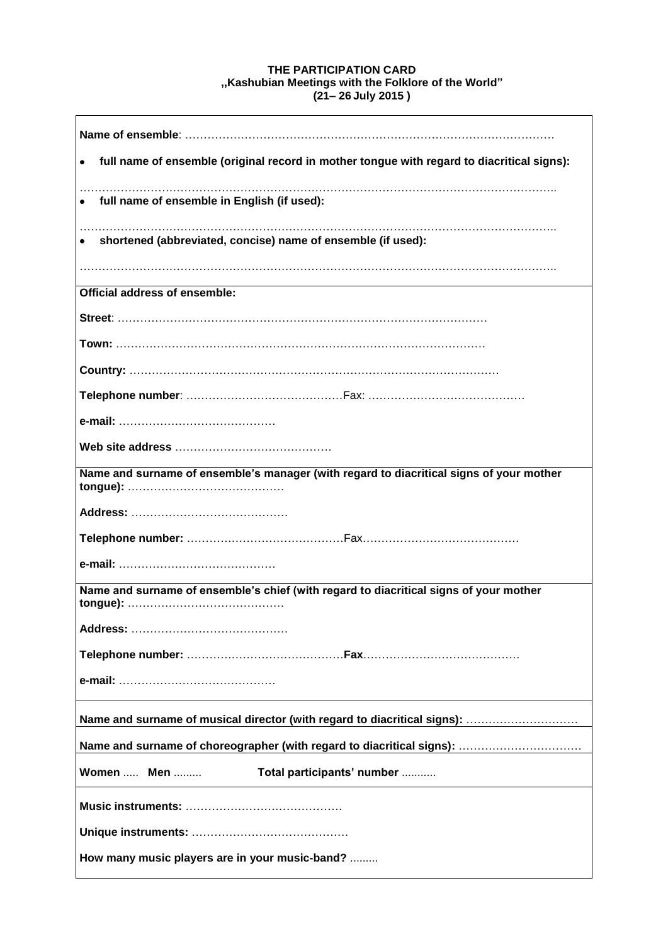## **THE PARTICIPATION CARD ,,Kashubian Meetings with the Folklore of the World" (21– 26 July 2015 )**

| full name of ensemble (original record in mother tongue with regard to diacritical signs): |
|--------------------------------------------------------------------------------------------|
| full name of ensemble in English (if used):                                                |
| shortened (abbreviated, concise) name of ensemble (if used):                               |
| Official address of ensemble:                                                              |
|                                                                                            |
|                                                                                            |
|                                                                                            |
|                                                                                            |
|                                                                                            |
|                                                                                            |
| Name and surname of ensemble's manager (with regard to diacritical signs of your mother    |
|                                                                                            |
|                                                                                            |
|                                                                                            |
| Name and surname of ensemble's chief (with regard to diacritical signs of your mother      |
|                                                                                            |
|                                                                                            |
|                                                                                            |
|                                                                                            |
|                                                                                            |
| Women  Men<br>Total participants' number                                                   |
|                                                                                            |
|                                                                                            |
| How many music players are in your music-band?                                             |